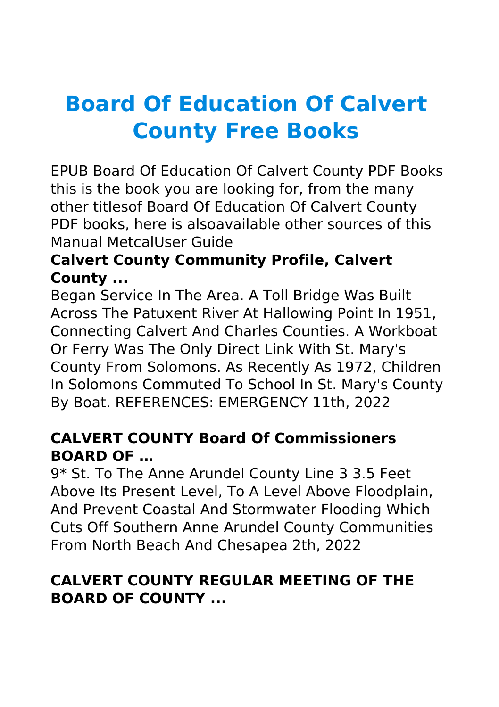# **Board Of Education Of Calvert County Free Books**

EPUB Board Of Education Of Calvert County PDF Books this is the book you are looking for, from the many other titlesof Board Of Education Of Calvert County PDF books, here is alsoavailable other sources of this Manual MetcalUser Guide

## **Calvert County Community Profile, Calvert County ...**

Began Service In The Area. A Toll Bridge Was Built Across The Patuxent River At Hallowing Point In 1951, Connecting Calvert And Charles Counties. A Workboat Or Ferry Was The Only Direct Link With St. Mary's County From Solomons. As Recently As 1972, Children In Solomons Commuted To School In St. Mary's County By Boat. REFERENCES: EMERGENCY 11th, 2022

## **CALVERT COUNTY Board Of Commissioners BOARD OF …**

9\* St. To The Anne Arundel County Line 3 3.5 Feet Above Its Present Level, To A Level Above Floodplain, And Prevent Coastal And Stormwater Flooding Which Cuts Off Southern Anne Arundel County Communities From North Beach And Chesapea 2th, 2022

# **CALVERT COUNTY REGULAR MEETING OF THE BOARD OF COUNTY ...**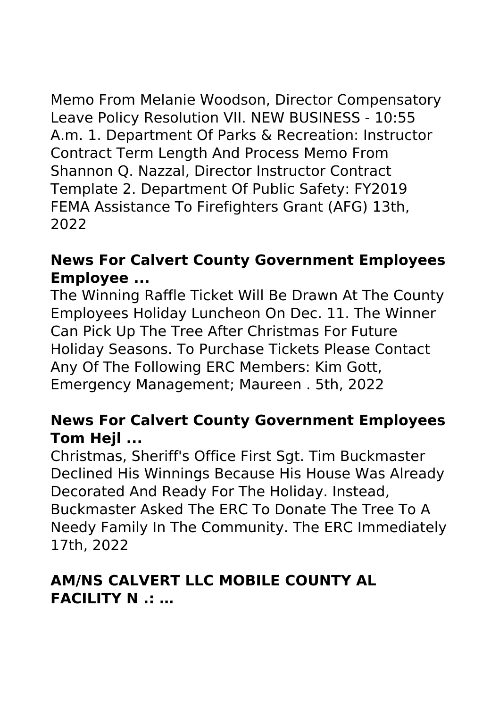Memo From Melanie Woodson, Director Compensatory Leave Policy Resolution VII. NEW BUSINESS - 10:55 A.m. 1. Department Of Parks & Recreation: Instructor Contract Term Length And Process Memo From Shannon Q. Nazzal, Director Instructor Contract Template 2. Department Of Public Safety: FY2019 FEMA Assistance To Firefighters Grant (AFG) 13th, 2022

## **News For Calvert County Government Employees Employee ...**

The Winning Raffle Ticket Will Be Drawn At The County Employees Holiday Luncheon On Dec. 11. The Winner Can Pick Up The Tree After Christmas For Future Holiday Seasons. To Purchase Tickets Please Contact Any Of The Following ERC Members: Kim Gott, Emergency Management; Maureen . 5th, 2022

#### **News For Calvert County Government Employees Tom Hejl ...**

Christmas, Sheriff's Office First Sgt. Tim Buckmaster Declined His Winnings Because His House Was Already Decorated And Ready For The Holiday. Instead, Buckmaster Asked The ERC To Donate The Tree To A Needy Family In The Community. The ERC Immediately 17th, 2022

## **AM/NS CALVERT LLC MOBILE COUNTY AL FACILITY N .: …**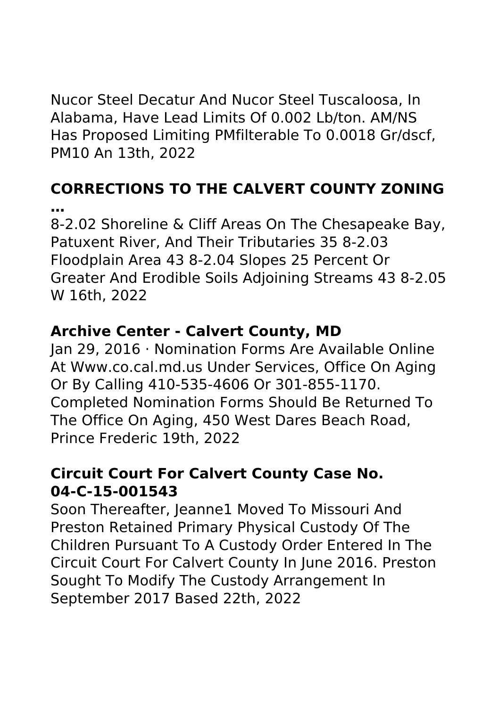Nucor Steel Decatur And Nucor Steel Tuscaloosa, In Alabama, Have Lead Limits Of 0.002 Lb/ton. AM/NS Has Proposed Limiting PMfilterable To 0.0018 Gr/dscf, PM10 An 13th, 2022

# **CORRECTIONS TO THE CALVERT COUNTY ZONING …**

8-2.02 Shoreline & Cliff Areas On The Chesapeake Bay, Patuxent River, And Their Tributaries 35 8-2.03 Floodplain Area 43 8-2.04 Slopes 25 Percent Or Greater And Erodible Soils Adjoining Streams 43 8-2.05 W 16th, 2022

## **Archive Center - Calvert County, MD**

Jan 29, 2016 · Nomination Forms Are Available Online At Www.co.cal.md.us Under Services, Office On Aging Or By Calling 410-535-4606 Or 301-855-1170. Completed Nomination Forms Should Be Returned To The Office On Aging, 450 West Dares Beach Road, Prince Frederic 19th, 2022

## **Circuit Court For Calvert County Case No. 04-C-15-001543**

Soon Thereafter, Jeanne1 Moved To Missouri And Preston Retained Primary Physical Custody Of The Children Pursuant To A Custody Order Entered In The Circuit Court For Calvert County In June 2016. Preston Sought To Modify The Custody Arrangement In September 2017 Based 22th, 2022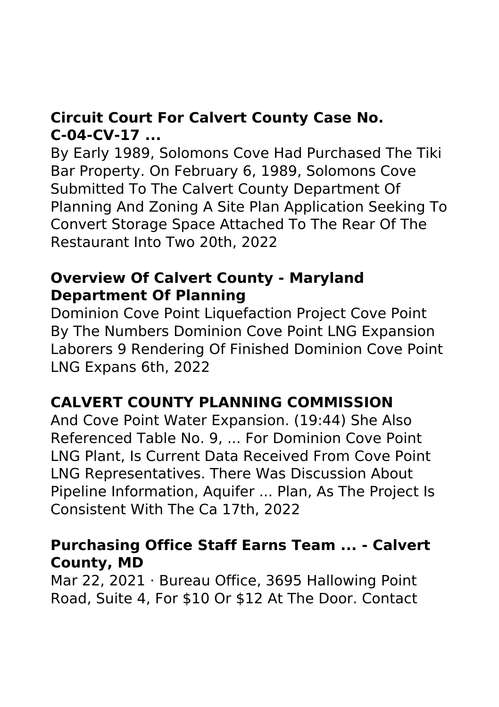# **Circuit Court For Calvert County Case No. C-04-CV-17 ...**

By Early 1989, Solomons Cove Had Purchased The Tiki Bar Property. On February 6, 1989, Solomons Cove Submitted To The Calvert County Department Of Planning And Zoning A Site Plan Application Seeking To Convert Storage Space Attached To The Rear Of The Restaurant Into Two 20th, 2022

#### **Overview Of Calvert County - Maryland Department Of Planning**

Dominion Cove Point Liquefaction Project Cove Point By The Numbers Dominion Cove Point LNG Expansion Laborers 9 Rendering Of Finished Dominion Cove Point LNG Expans 6th, 2022

## **CALVERT COUNTY PLANNING COMMISSION**

And Cove Point Water Expansion. (19:44) She Also Referenced Table No. 9, ... For Dominion Cove Point LNG Plant, Is Current Data Received From Cove Point LNG Representatives. There Was Discussion About Pipeline Information, Aquifer ... Plan, As The Project Is Consistent With The Ca 17th, 2022

#### **Purchasing Office Staff Earns Team ... - Calvert County, MD**

Mar 22, 2021 · Bureau Office, 3695 Hallowing Point Road, Suite 4, For \$10 Or \$12 At The Door. Contact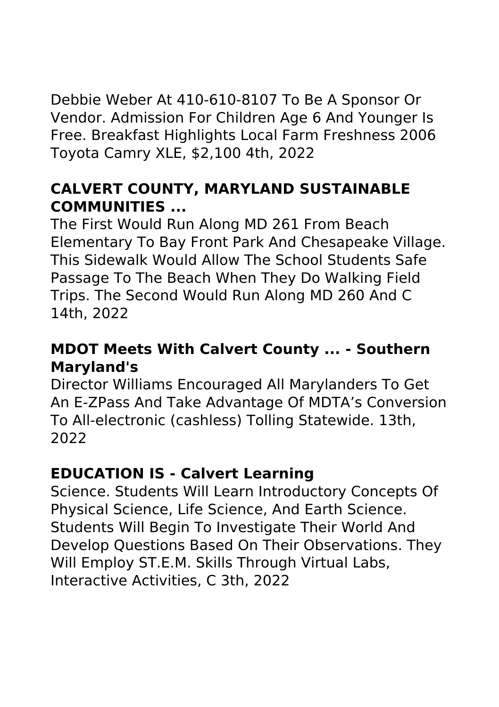Debbie Weber At 410-610-8107 To Be A Sponsor Or Vendor. Admission For Children Age 6 And Younger Is Free. Breakfast Highlights Local Farm Freshness 2006 Toyota Camry XLE, \$2,100 4th, 2022

## **CALVERT COUNTY, MARYLAND SUSTAINABLE COMMUNITIES ...**

The First Would Run Along MD 261 From Beach Elementary To Bay Front Park And Chesapeake Village. This Sidewalk Would Allow The School Students Safe Passage To The Beach When They Do Walking Field Trips. The Second Would Run Along MD 260 And C 14th, 2022

#### **MDOT Meets With Calvert County ... - Southern Maryland's**

Director Williams Encouraged All Marylanders To Get An E-ZPass And Take Advantage Of MDTA's Conversion To All-electronic (cashless) Tolling Statewide. 13th, 2022

#### **EDUCATION IS - Calvert Learning**

Science. Students Will Learn Introductory Concepts Of Physical Science, Life Science, And Earth Science. Students Will Begin To Investigate Their World And Develop Questions Based On Their Observations. They Will Employ ST.E.M. Skills Through Virtual Labs, Interactive Activities, C 3th, 2022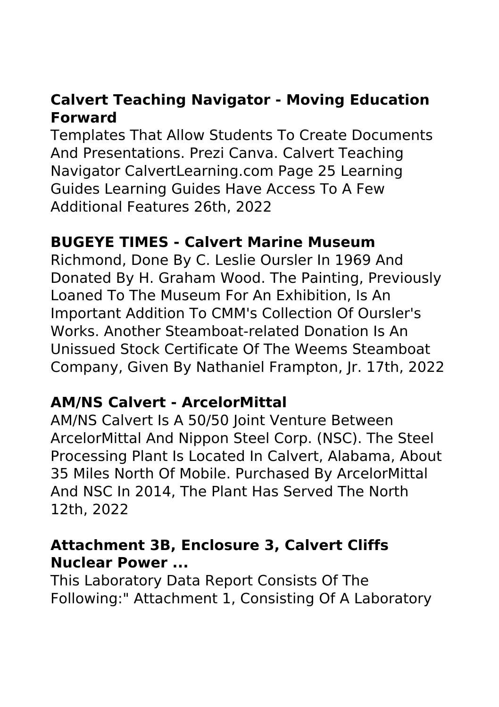## **Calvert Teaching Navigator - Moving Education Forward**

Templates That Allow Students To Create Documents And Presentations. Prezi Canva. Calvert Teaching Navigator CalvertLearning.com Page 25 Learning Guides Learning Guides Have Access To A Few Additional Features 26th, 2022

#### **BUGEYE TIMES - Calvert Marine Museum**

Richmond, Done By C. Leslie Oursler In 1969 And Donated By H. Graham Wood. The Painting, Previously Loaned To The Museum For An Exhibition, Is An Important Addition To CMM's Collection Of Oursler's Works. Another Steamboat-related Donation Is An Unissued Stock Certificate Of The Weems Steamboat Company, Given By Nathaniel Frampton, Jr. 17th, 2022

#### **AM/NS Calvert - ArcelorMittal**

AM/NS Calvert Is A 50/50 Joint Venture Between ArcelorMittal And Nippon Steel Corp. (NSC). The Steel Processing Plant Is Located In Calvert, Alabama, About 35 Miles North Of Mobile. Purchased By ArcelorMittal And NSC In 2014, The Plant Has Served The North 12th, 2022

#### **Attachment 3B, Enclosure 3, Calvert Cliffs Nuclear Power ...**

This Laboratory Data Report Consists Of The Following:" Attachment 1, Consisting Of A Laboratory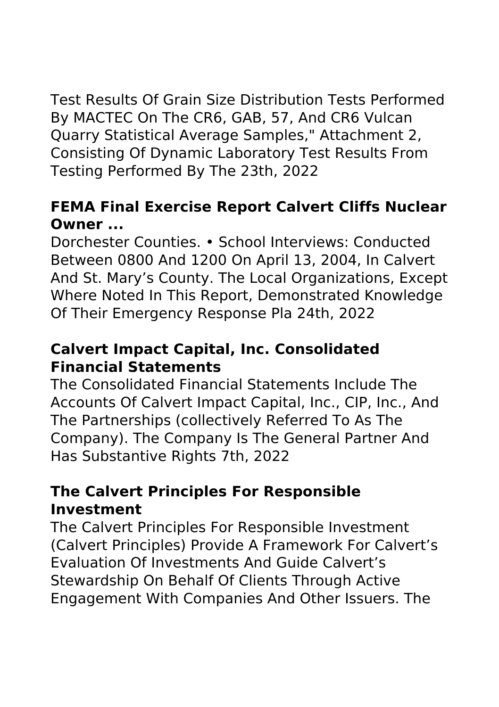Test Results Of Grain Size Distribution Tests Performed By MACTEC On The CR6, GAB, 57, And CR6 Vulcan Quarry Statistical Average Samples," Attachment 2, Consisting Of Dynamic Laboratory Test Results From Testing Performed By The 23th, 2022

## **FEMA Final Exercise Report Calvert Cliffs Nuclear Owner ...**

Dorchester Counties. • School Interviews: Conducted Between 0800 And 1200 On April 13, 2004, In Calvert And St. Mary's County. The Local Organizations, Except Where Noted In This Report, Demonstrated Knowledge Of Their Emergency Response Pla 24th, 2022

## **Calvert Impact Capital, Inc. Consolidated Financial Statements**

The Consolidated Financial Statements Include The Accounts Of Calvert Impact Capital, Inc., CIP, Inc., And The Partnerships (collectively Referred To As The Company). The Company Is The General Partner And Has Substantive Rights 7th, 2022

## **The Calvert Principles For Responsible Investment**

The Calvert Principles For Responsible Investment (Calvert Principles) Provide A Framework For Calvert's Evaluation Of Investments And Guide Calvert's Stewardship On Behalf Of Clients Through Active Engagement With Companies And Other Issuers. The